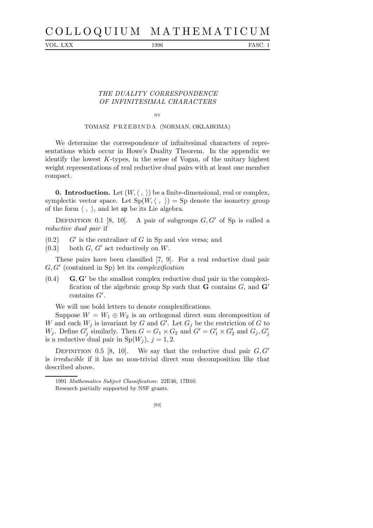## C O L L O Q U I U M M A T H E M A T I C U M

VOL. LXX 1996 FASC. 1

## THE DUALITY CORRESPONDENCE OF INFINITESIMAL CHARACTERS

BY

## TOMASZ PRZEBINDA (NORMAN, OKLAHOMA)

We determine the correspondence of infinitesimal characters of representations which occur in Howe's Duality Theorem. In the appendix we identify the lowest  $K$ -types, in the sense of Vogan, of the unitary highest weight representations of real reductive dual pairs with at least one member compact.

**0. Introduction.** Let  $(W, \langle , \rangle)$  be a finite-dimensional, real or complex, symplectic vector space. Let  $Sp(W, \langle , \rangle) = Sp$  denote the isometry group of the form  $\langle , \rangle$ , and let  $\mathfrak{sp}$  be its Lie algebra.

DEFINITION 0.1 [8, 10]. A pair of subgroups  $G, G'$  of Sp is called a reductive dual pair if

 $(0.2)$  $G'$  is the centralizer of G in Sp and vice versa; and

 $(0.3)$  both G, G' act reductively on W.

These pairs have been classified [7, 9]. For a real reductive dual pair G, G′ (contained in Sp) let its complexification

 $(0.4)$  G, G' be the smallest complex reductive dual pair in the complexification of the algebraic group Sp such that **G** contains  $G$ , and  $\mathbf{G}'$ contains G′ .

We will use bold letters to denote complexifications.

Suppose  $W = W_1 \oplus W_2$  is an orthogonal direct sum decomposition of W and each  $W_j$  is invariant by G and G'. Let  $G_j$  be the restriction of G to  $W_j$ . Define  $G'_j$  similarly. Then  $G = G_1 \times G_2$  and  $G' = G'_1 \times G'_2$  and  $G_j, G'_j$ is a reductive dual pair in  $Sp(W_i), j = 1, 2$ .

DEFINITION 0.5 [8, 10]. We say that the reductive dual pair  $G, G'$ is irreducible if it has no non-trivial direct sum decomposition like that described above.

<sup>1991</sup> *Mathematics Subject Classification*: 22E46, 17B10.

Research partially supported by NSF grants.

<sup>[93]</sup>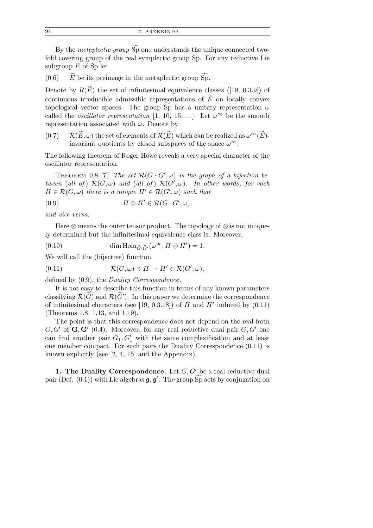94 T. PRZEB INDA

By the *metaplectic group* Sp one understands the unique connected twofold covering group of the real symplectic group Sp. For any reductive Lie subgroup  $E$  of Sp let

 $(0.6)$  E be its preimage in the metaplectic group  $\widetilde{\text{Sp}}$ .

Denote by  $R(E)$  the set of infinitesimal equivalence classes ([19, 0.3.9]) of continuous irreducible admissible representations of  $\tilde{E}$  on locally convex topological vector spaces. The group Sp has a unitary representation  $\omega$ called the *oscillator representation* [1, 10, 15, ...]. Let  $\omega^{\infty}$  be the smooth representation associated with  $\omega$ . Denote by

 $(0.7)$   $\mathcal{R}(\widetilde{E}, \omega)$  the set of elements of  $\mathcal{R}(\widetilde{E})$  which can be realized as  $\omega^{\infty}(\widetilde{E})$ invariant quotients by closed subspaces of the space  $\omega^{\infty}$ .

The following theorem of Roger Howe reveals a very special character of the oscillator representation.

THEOREM 0.8 [7]. The set  $\mathcal{R}(G \cdot G', \omega)$  is the graph of a bijection between (all of)  $\mathcal{R}(G,\omega)$  and (all of)  $\mathcal{R}(G',\omega)$ . In other words, for each  $\Pi \in \mathcal{R}(G,\omega)$  there is a unique  $\Pi' \in \mathcal{R}(G',\omega)$  such that

$$
(0.9) \t\t \Pi \otimes \Pi' \in \mathcal{R}(G \cdot G', \omega),
$$

and vice versa.

Here  $\otimes$  means the outer tensor product. The topology of  $\otimes$  is not uniquely determined but the infinitesimal equivalence class is. Moreover,

(0.10) 
$$
\dim \text{Hom}_{\tilde{G}\cdot \tilde{G}'}(\omega^{\infty}, \Pi \otimes \Pi') = 1.
$$

We will call the (bijective) function

(0.11) 
$$
\mathcal{R}(G,\omega) \ni \Pi \to \Pi' \in \mathcal{R}(G',\omega),
$$

defined by (0.9), the Duality Correspondence.

It is not easy to describe this function in terms of any known parameters classifying  $\mathcal{R}(\widetilde{G})$  and  $\mathcal{R}(\widetilde{G}')$ . In this paper we determine the correspondence of infinitesimal characters (see [19, 0.3.18]) of  $\Pi$  and  $\Pi'$  induced by (0.11) (Theorems 1.8, 1.13, and 1.19).

The point is that this correspondence does not depend on the real form  $G, G'$  of  $\mathbf{G}, \mathbf{G}'$  (0.4). Moreover, for any real reductive dual pair  $G, G'$  one can find another pair  $G_1, G'_1$  with the same complexification and at least one member compact. For such pairs the Duality Correspondence (0.11) is known explicitly (see [2, 4, 15] and the Appendix).

1. The Duality Correspondence. Let  $G, G'$  be a real reductive dual pair (Def.  $(0.1)$ ) with Lie algebras  $\mathfrak{g}, \mathfrak{g}'$ . The group  $\widetilde{\text{Sp}}$  acts by conjugation on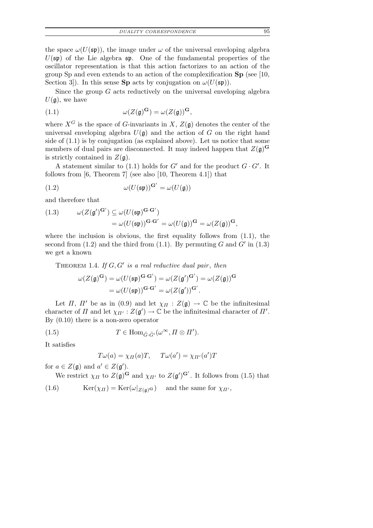*DUALITY CORRESPONDENCE* 95

the space  $\omega(U(\mathfrak{sp}))$ , the image under  $\omega$  of the universal enveloping algebra  $U(\mathfrak{sp})$  of the Lie algebra  $\mathfrak{sp}$ . One of the fundamental properties of the oscillator representation is that this action factorizes to an action of the group Sp and even extends to an action of the complexification Sp (see [10, Section 3. In this sense Sp acts by conjugation on  $\omega(U(\mathfrak{sp}))$ .

Since the group  $G$  acts reductively on the universal enveloping algebra  $U(\mathfrak{g})$ , we have

(1.1) 
$$
\omega(Z(\mathfrak{g})^{\mathbf{G}}) = \omega(Z(\mathfrak{g}))^{\mathbf{G}},
$$

where  $X^G$  is the space of G-invariants in X,  $Z(\mathfrak{g})$  denotes the center of the universal enveloping algebra  $U(\mathfrak{g})$  and the action of G on the right hand side of (1.1) is by conjugation (as explained above). Let us notice that some members of dual pairs are disconnected. It may indeed happen that  $Z(\mathfrak{g})^{\mathbf{G}}$ is strictly contained in  $Z(\mathfrak{g})$ .

A statement similar to (1.1) holds for  $G'$  and for the product  $G \cdot G'$ . It follows from  $[6,$  Theorem  $7$  (see also  $[10,$  Theorem 4.1]) that

(1.2) 
$$
\omega(U(\mathfrak{sp}))^{\mathbf{G}'} = \omega(U(\mathfrak{g}))
$$

and therefore that

(1.3) 
$$
\omega(Z(\mathfrak{g}')^{\mathbf{G}'}) \subseteq \omega(U(\mathfrak{sp})^{\mathbf{G} \cdot \mathbf{G}'})
$$

$$
= \omega(U(\mathfrak{sp}))^{\mathbf{G} \cdot \mathbf{G}'} = \omega(U(\mathfrak{g}))^{\mathbf{G}} = \omega(Z(\mathfrak{g}))^{\mathbf{G}},
$$

where the inclusion is obvious, the first equality follows from  $(1.1)$ , the second from (1.2) and the third from (1.1). By permuting G and  $G'$  in (1.3) we get a known

THEOREM 1.4. If  $G, G'$  is a real reductive dual pair, then

$$
\omega(Z(\mathfrak{g})^{\mathbf{G}}) = \omega(U(\mathfrak{sp})^{\mathbf{G} \cdot \mathbf{G}'}) = \omega(Z(\mathfrak{g}')^{\mathbf{G}'}) = \omega(Z(\mathfrak{g}))^{\mathbf{G}}
$$

$$
= \omega(U(\mathfrak{sp}))^{\mathbf{G} \cdot \mathbf{G}'} = \omega(Z(\mathfrak{g}'))^{\mathbf{G}'}.
$$

Let  $\Pi$ ,  $\Pi'$  be as in (0.9) and let  $\chi_{\Pi}: Z(\mathfrak{g}) \to \mathbb{C}$  be the infinitesimal character of  $\Pi$  and let  $\chi_{\Pi'} : Z(\mathfrak{g}') \to \mathbb{C}$  be the infinitesimal character of  $\Pi'$ . By (0.10) there is a non-zero operator

(1.5) 
$$
T \in \text{Hom}_{\tilde{G} \cdot \tilde{G}'}(\omega^{\infty}, \Pi \otimes \Pi').
$$

It satisfies

$$
T\omega(a) = \chi_{\Pi}(a)T, \quad T\omega(a') = \chi_{\Pi'}(a')T
$$

for  $a \in Z(\mathfrak{g})$  and  $a' \in Z(\mathfrak{g}')$ .

We restrict  $\chi_{\Pi}$  to  $Z(\mathfrak{g})^{\mathbf{G}}$  and  $\chi_{\Pi'}$  to  $Z(\mathfrak{g}')^{\mathbf{G}'}$ . It follows from (1.5) that

(1.6) 
$$
\operatorname{Ker}(\chi_{\Pi}) = \operatorname{Ker}(\omega|_{Z(\mathfrak{g})^{\mathbf{G}}}) \text{ and the same for } \chi_{\Pi'},
$$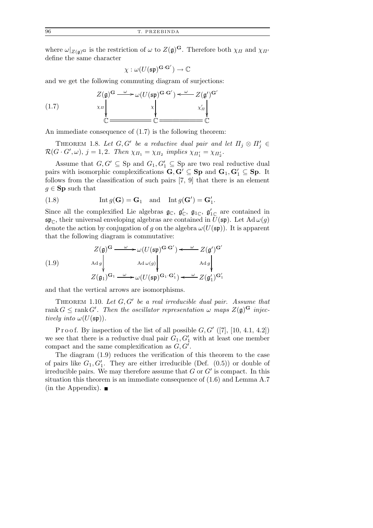where  $\omega|_{Z(\mathfrak{g})}$  is the restriction of  $\omega$  to  $Z(\mathfrak{g})^{\mathbf{G}}$ . Therefore both  $\chi_{\Pi}$  and  $\chi_{\Pi'}$ define the same character

$$
\chi:\omega(U(\mathfrak{sp})^{\bf G\cdot G'})\rightarrow \mathbb{C}
$$

and we get the following commuting diagram of surjections:

(1.7) 
$$
Z(\mathfrak{g})^{\mathbf{G}} \xrightarrow{\omega} \omega(U(\mathfrak{sp})^{\mathbf{G} \cdot \mathbf{G}'}) \xleftarrow{\omega} Z(\mathfrak{g}')^{\mathbf{G}'}
$$

$$
\times \pi \downarrow \qquad \qquad \times \pi \downarrow \qquad \qquad \times \pi \downarrow \qquad \qquad \times \pi \downarrow \qquad \qquad \mathbb{C}
$$

An immediate consequence of (1.7) is the following theorem:

THEOREM 1.8. Let  $G, G'$  be a reductive dual pair and let  $\Pi_j \otimes \Pi'_j \in$  $\mathcal{R}(G \cdot G', \omega), j = 1, 2$ . Then  $\chi_{\Pi_1} = \chi_{\Pi_2}$  implies  $\chi_{\Pi'_1} = \chi_{\Pi'_2}$ .

Assume that  $G, G' \subseteq$  Sp and  $G_1, G'_1 \subseteq$  Sp are two real reductive dual pairs with isomorphic complexifications  $G, G' \subseteq Sp$  and  $G_1, G'_1 \subseteq Sp$ . It follows from the classification of such pairs [7, 9] that there is an element  $g \in \mathbf{Sp}$  such that

(1.8) 
$$
\operatorname{Int} g(\mathbf{G}) = \mathbf{G}_1 \quad \text{and} \quad \operatorname{Int} g(\mathbf{G}') = \mathbf{G}'_1.
$$

Since all the complexified Lie algebras  $\mathfrak{g}_{\mathbb{C}}$ ,  $\mathfrak{g}'_{\mathbb{C}}$ ,  $\mathfrak{g}'_{1\mathbb{C}}$ ,  $\mathfrak{g}'_{1\mathbb{C}}$  are contained in  $\mathfrak{sp}_{\mathbb{C}}$ , their universal enveloping algebras are contained in  $U(\mathfrak{sp})$ . Let Ad  $\omega(g)$ denote the action by conjugation of g on the algebra  $\omega(U(\mathfrak{sp}))$ . It is apparent that the following diagram is commutative:

(1.9)  
\n
$$
Z(\mathfrak{g})^{\mathbf{G}} \xrightarrow{\omega} \omega(U(\mathfrak{sp})^{\mathbf{G} \cdot \mathbf{G}'}) \xleftarrow{\omega} Z(\mathfrak{g}')^{\mathbf{G}'}
$$
\n
$$
Ad \mathfrak{g} \begin{array}{c} \downarrow \\ \downarrow \\ Z(\mathfrak{g}_1)^{\mathbf{G}_1} \xrightarrow{\omega} \omega(U(\mathfrak{sp})^{\mathbf{G}_1 \cdot \mathbf{G}'_1}) \xleftarrow{\omega} Z(\mathfrak{g}'_1)^{\mathbf{G}'_1} \end{array}
$$

and that the vertical arrows are isomorphisms.

THEOREM 1.10. Let  $G, G'$  be a real irreducible dual pair. Assume that rank  $G \leq \text{rank } G'$ . Then the oscillator representation  $\omega$  maps  $Z(\mathfrak{g})^{\mathbf{G}}$  injectively into  $\omega(U(\mathfrak{sp}))$ .

P r o o f. By inspection of the list of all possible  $G, G'$  ([7], [10, 4.1, 4.2]) we see that there is a reductive dual pair  $G_1, G'_1$  with at least one member compact and the same complexification as  $G, G'$ .

The diagram (1.9) reduces the verification of this theorem to the case of pairs like  $G_1, G'_1$ . They are either irreducible (Def. (0.5)) or double of irreducible pairs. We may therefore assume that  $G$  or  $G'$  is compact. In this situation this theorem is an immediate consequence of (1.6) and Lemma A.7  $(in the Appendix).$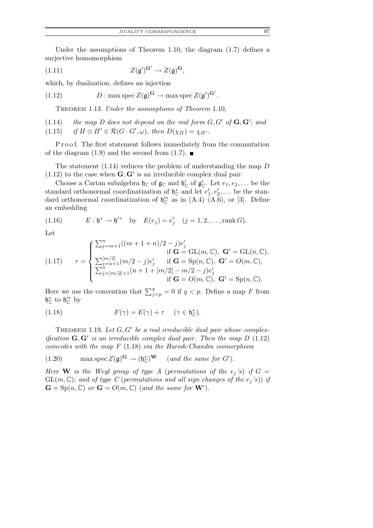Under the assumptions of Theorem 1.10, the diagram (1.7) defines a surjective homomorphism

(1.11) 
$$
Z(\mathfrak{g}')^{\mathbf{G}'} \to Z(\mathfrak{g})^{\mathbf{G}},
$$

which, by dualization, defines an injection

(1.12)  $D: \max \text{spec } Z(\mathfrak{g})^{\mathbf{G}} \to \max \text{spec } Z(\mathfrak{g}')^{\mathbf{G}'}$ .

Theorem 1.13. Under the assumptions of Theorem 1.10,

 $(1.14)$  the map D does not depend on the real form  $G, G'$  of  $\mathbf{G}, \mathbf{G}'$ ; and (1.15) if  $\Pi \otimes \Pi' \in \mathcal{R}(G \cdot G', \omega)$ , then  $D(\chi_{\Pi}) = \chi_{\Pi'}$ .

Proof. The first statement follows immediately from the commutation of the diagram  $(1.9)$  and the second from  $(1.7)$ .

The statement  $(1.14)$  reduces the problem of understanding the map D  $(1.12)$  to the case when  $\mathbf{G}, \mathbf{G}'$  is an irreducible complex dual pair.

Choose a Cartan subalgebra  $\mathfrak{h}_{\mathbb{C}}$  of  $\mathfrak{g}_{\mathbb{C}}$  and  $\mathfrak{h}'_{\mathbb{C}}$  of  $\mathfrak{g}'_{\mathbb{C}}$ . Let  $e_1, e_2, \ldots$  be the standard orthonormal coordinatization of  $\mathfrak{h}_{\mathbb{C}}^*$  and let  $e'_1$  $'_{1}, e'_{2}, \ldots$  be the standard orthonormal coordinatization of  $\mathfrak{h}_{\mathbb{C}}'^*$  as in  $(A.4)$ – $(A.6)$ , or [3]. Define an embedding

(1.16) 
$$
E: \mathfrak{h}^* \to \mathfrak{h}'^* \quad \text{by} \quad E(e_j) = e'_j \quad (j = 1, 2, \dots, \text{rank } G).
$$

Let

(1.17) 
$$
\tau = \begin{cases} \sum_{j=m+1}^{n} ((m+1+n)/2 - j)e'_j & \text{if } \mathbf{G} = GL(m, \mathbb{C}), \ \mathbf{G}' = GL(n, \mathbb{C}), \\ \sum_{j=n+1}^{[m/2]} (m/2 - j)e'_j & \text{if } \mathbf{G} = \text{Sp}(n, \mathbb{C}), \ \mathbf{G}' = O(m, \mathbb{C}), \\ \sum_{j=[m/2]+1}^{n} (n+1+[m/2]-m/2 - j)e'_j & \text{if } \mathbf{G} = O(m, \mathbb{C}), \ \mathbf{G}' = \text{Sp}(n, \mathbb{C}). \end{cases}
$$

Here we use the convention that  $\sum_{j=p}^{q} = 0$  if  $q < p$ . Define a map F from  $\mathfrak{h}_{\mathbb{C}}^*$  to  $\mathfrak{h}_{\mathbb{C}}'^*$  by

(1.18) 
$$
F(\gamma) = E(\gamma) + \tau \quad (\gamma \in \mathfrak{h}_{\mathbb{C}}^*).
$$

THEOREM 1.19. Let  $G, G'$  be a real irreducible dual pair whose complexification  $\mathbf{G}, \mathbf{G}'$  is an irreducible complex dual pair. Then the map  $D$  (1.12) coincides with the map  $F(1.18)$  via the Harish-Chandra isomorphism

(1.20) 
$$
\max \operatorname{spec} Z(\mathfrak{g})^{\mathbf{G}} \to (\mathfrak{h}_{\mathbb{C}}^*)^{\mathbf{W}} \quad (and the same for G').
$$

Here W is the Weyl group of type A (permutations of the  $e_j$ 's) if  $G =$  $GL(m,\mathbb{C})$ ; and of type C (permutations and all sign changes of the  $e_j$ 's)) if  $\mathbf{G} = \mathrm{Sp}(n, \mathbb{C})$  or  $\mathbf{G} = O(m, \mathbb{C})$  (and the same for  $\mathbf{W}'$ ).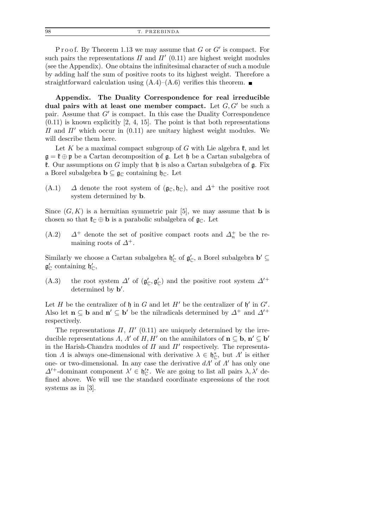P r o o f. By Theorem 1.13 we may assume that  $G$  or  $G'$  is compact. For such pairs the representations  $\Pi$  and  $\Pi'$  (0.11) are highest weight modules (see the Appendix). One obtains the infinitesimal character of such a module by adding half the sum of positive roots to its highest weight. Therefore a straightforward calculation using  $(A.4)$ – $(A.6)$  verifies this theorem.

Appendix. The Duality Correspondence for real irreducible dual pairs with at least one member compact. Let  $G, G'$  be such a pair. Assume that G' is compact. In this case the Duality Correspondence  $(0.11)$  is known explicitly  $[2, 4, 15]$ . The point is that both representations  $\Pi$  and  $\Pi'$  which occur in (0.11) are unitary highest weight modules. We will describe them here.

Let K be a maximal compact subgroup of G with Lie algebra  $\mathfrak{k}$ , and let  $\mathfrak{g} = \mathfrak{k} \oplus \mathfrak{p}$  be a Cartan decomposition of  $\mathfrak{g}$ . Let  $\mathfrak{h}$  be a Cartan subalgebra of **t.** Our assumptions on G imply that  $\mathfrak{h}$  is also a Cartan subalgebra of  $\mathfrak{g}$ . Fix a Borel subalgebra  $\mathbf{b} \subseteq \mathfrak{g}_{\mathbb{C}}$  containing  $\mathfrak{h}_{\mathbb{C}}$ . Let

(A.1)  $\Delta$  denote the root system of ( $\mathfrak{g}_{\mathbb{C}}$ ,  $\mathfrak{h}_{\mathbb{C}}$ ), and  $\Delta^+$  the positive root system determined by b.

Since  $(G, K)$  is a hermitian symmetric pair [5], we may assume that **b** is chosen so that  $\mathfrak{k}_{\mathbb{C}} \oplus \mathfrak{b}$  is a parabolic subalgebra of  $\mathfrak{g}_{\mathbb{C}}$ . Let

(A.2)  $\Delta^+$  denote the set of positive compact roots and  $\Delta^+_n$  be the remaining roots of  $\Delta^+$ .

Similarly we choose a Cartan subalgebra  $\mathfrak{h}'_{\mathbb{C}}$  of  $\mathfrak{g}'_{\mathbb{C}}$ , a Borel subalgebra  $\mathbf{b}' \subseteq$  $\mathfrak{g}'_{\mathbb{C}}$  containing  $\mathfrak{h}'_{\mathbb{C}}$ ,

(A.3) the root system  $\Delta'$  of  $(\mathfrak{g}'_{\mathbb{C}}, \mathfrak{g}'_{\mathbb{C}})$  and the positive root system  $\Delta'^+$ determined by **b'**.

Let H be the centralizer of  $\mathfrak h$  in G and let H' be the centralizer of  $\mathfrak h'$  in  $G'$ . Also let  $\mathbf{n} \subseteq \mathbf{b}$  and  $\mathbf{n}' \subseteq \mathbf{b}'$  be the nilradicals determined by  $\Delta^+$  and  $\Delta'^+$ respectively.

The representations  $\Pi$ ,  $\Pi'$  (0.11) are uniquely determined by the irreducible representations  $\Lambda$ ,  $\Lambda'$  of  $H$ ,  $H'$  on the annihilators of  $\mathbf{n} \subseteq \mathbf{b}$ ,  $\mathbf{n}' \subseteq \mathbf{b}'$ in the Harish-Chandra modules of  $\Pi$  and  $\Pi'$  respectively. The representation  $\Lambda$  is always one-dimensional with derivative  $\lambda \in \mathfrak{h}_{\mathbb{C}}^*$ , but  $\Lambda'$  is either one- or two-dimensional. In any case the derivative  $d\Lambda'$  of  $\Lambda'$  has only one  $\Delta^{'}$ -dominant component  $\lambda' \in \mathfrak{h}_{\mathbb{C}}^{'}$ . We are going to list all pairs  $\lambda, \lambda'$  defined above. We will use the standard coordinate expressions of the root systems as in [3].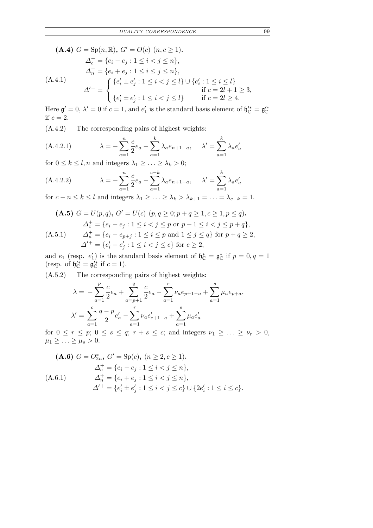(A.4) 
$$
G = \text{Sp}(n, \mathbb{R}), G' = O(c)
$$
  $(n, c \ge 1)$ .  
\n
$$
\Delta_c^+ = \{e_i - e_j : 1 \le i < j \le n\},
$$
\n
$$
\Delta_n^+ = \{e_i + e_j : 1 \le i \le j \le n\},
$$
\n(A.4.1)\n
$$
\Delta'^+ = \begin{cases}\n\{e'_i \pm e'_j : 1 \le i < j \le l\} \cup \{e'_i : 1 \le i \le l\} \\
\{e'_i \pm e'_j : 1 \le i < j \le l\} & \text{if } c = 2l + 1 \ge 3,\n\end{cases}
$$

Here  $\mathfrak{g}' = 0$ ,  $\lambda' = 0$  if  $c = 1$ , and  $e_1'$  $\mathfrak{g}'_1$  is the standard basis element of  $\mathfrak{h}''_{\mathbb{C}} = \mathfrak{g}''_{\mathbb{C}}$ if  $c = 2$ .

(A.4.2) The corresponding pairs of highest weights:

(A.4.2.1) 
$$
\lambda = -\sum_{a=1}^{n} \frac{c}{2} e_a - \sum_{a=1}^{k} \lambda_a e_{n+1-a}, \quad \lambda' = \sum_{a=1}^{k} \lambda_a e'_a
$$

for  $0 \leq k \leq l$ , *n* and integers  $\lambda_1 \geq \ldots \geq \lambda_k > 0$ ;

(A.4.2.2) 
$$
\lambda = -\sum_{a=1}^{n} \frac{c}{2} e_a - \sum_{a=1}^{c-k} \lambda_a e_{n+1-a}, \quad \lambda' = \sum_{a=1}^{k} \lambda_a e'_a
$$

for  $c - n \le k \le l$  and integers  $\lambda_1 \ge \ldots \ge \lambda_k > \lambda_{k+1} = \ldots = \lambda_{c-k} = 1$ .

$$
\begin{aligned}\n\textbf{(A.5)} \ G &= U(p,q), \ G' = U(c) \ (p,q \ge 0; p+q \ge 1, c \ge 1, p \le q). \\
\Delta_c^+ &= \{e_i - e_j : 1 \le i < j \le p \text{ or } p+1 \le i < j \le p+q\}, \\
\Delta_n^+ &= \{e_i - e_{p+j} : 1 \le i \le p \text{ and } 1 \le j \le q\} \text{ for } p+q \ge 2, \\
\Delta'^+ &= \{e'_i - e'_j : 1 \le i < j \le c\} \text{ for } c \ge 2,\n\end{aligned}
$$

and  $e_1$  (resp.  $e'_1$ )  $f_1$ ) is the standard basis element of  $\mathfrak{h}_{\mathbb{C}}^* = \mathfrak{g}_{\mathbb{C}}^*$  if  $p = 0, q = 1$ (resp. of  $\mathfrak{h}_{\mathbb{C}}^{i*} = \mathfrak{g}_{\mathbb{C}}^{i*}$  if  $c = 1$ ).

(A.5.2) The corresponding pairs of highest weights:

$$
\lambda = -\sum_{a=1}^{p} \frac{c}{2} e_a + \sum_{a=p+1}^{q} \frac{c}{2} e_a - \sum_{a=1}^{r} \nu_a e_{p+1-a} + \sum_{a=1}^{s} \mu_a e_{p+a},
$$
  

$$
\lambda' = \sum_{a=1}^{c} \frac{q-p}{2} e'_a - \sum_{a=1}^{r} \nu_a e'_{c+1-a} + \sum_{a=1}^{s} \mu_a e'_a
$$

for  $0 \leq r \leq p$ ;  $0 \leq s \leq q$ ;  $r + s \leq c$ ; and integers  $\nu_1 \geq \ldots \geq \nu_r > 0$ ,  $\mu_1 \geq \ldots \geq \mu_s > 0.$ 

(A.6) 
$$
G = O_{2n}^{*}, G' = \text{Sp}(c), (n \geq 2, c \geq 1).
$$

\n
$$
\Delta_{c}^{+} = \{e_{i} - e_{j} : 1 \leq i < j \leq n\},
$$

\n(A.6.1)

\n
$$
\Delta_{n}^{+} = \{e_{i} + e_{j} : 1 \leq i < j \leq n\},
$$

\n
$$
\Delta'^{+} = \{e'_{i} \pm e'_{j} : 1 \leq i < j \leq c\} \cup \{2e'_{i} : 1 \leq i \leq c\}.
$$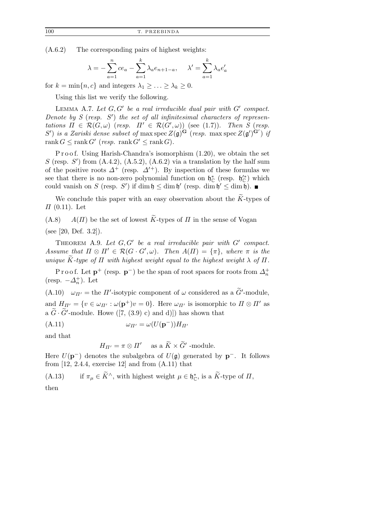(A.6.2) The corresponding pairs of highest weights:

$$
\lambda = -\sum_{a=1}^{n} ce_a - \sum_{a=1}^{k} \lambda_a e_{n+1-a}, \quad \lambda' = \sum_{a=1}^{k} \lambda_a e'_a
$$

for  $k = \min\{n, c\}$  and integers  $\lambda_1 \geq \ldots \geq \lambda_k \geq 0$ .

Using this list we verify the following.

LEMMA A.7. Let  $G, G'$  be a real irreducible dual pair with  $G'$  compact. Denote by  $S$  (resp.  $S'$ ) the set of all infinitesimal characters of representations  $\Pi \in \mathcal{R}(G,\omega)$  (resp.  $\Pi' \in \mathcal{R}(G',\omega)$ ) (see (1.7)). Then S (resp. S') is a Zariski dense subset of max spec  $Z(\mathfrak{g})^{\mathbf{G}}$  (resp. max spec  $Z(\mathfrak{g}')^{\mathbf{G}'}$ ) if  $rank G \le rank G'$  (resp.  $rank G' \le rank G$ ).

P r o o f. Using Harish-Chandra's isomorphism  $(1.20)$ , we obtain the set S (resp. S') from  $(A.4.2)$ ,  $(A.5.2)$ ,  $(A.6.2)$  via a translation by the half sum of the positive roots  $\Delta^+$  (resp.  $\Delta'^+$ ). By inspection of these formulas we see that there is no non-zero polynomial function on  $\mathfrak{h}_{\mathbb{C}}^*$  (resp.  $\mathfrak{h}_{\mathbb{C}}'^*$ ) which could vanish on S (resp. S') if  $\dim \mathfrak{h} \leq \dim \mathfrak{h}'$  (resp.  $\dim \mathfrak{h}' \leq \dim \mathfrak{h}'$ ).

We conclude this paper with an easy observation about the  $\widetilde{K}$ -types of  $\Pi$  (0.11). Let

 $(A.8)$  A( $\Pi$ ) be the set of lowest  $\widetilde{K}$ -types of  $\Pi$  in the sense of Vogan

(see [20, Def. 3.2]).

THEOREM A.9. Let  $G, G'$  be a real irreducible pair with  $G'$  compact. Assume that  $\Pi \otimes \Pi' \in \mathcal{R}(G \cdot G', \omega)$ . Then  $A(\Pi) = {\pi}$ , where  $\pi$  is the unique  $\widetilde{K}$ -type of  $\Pi$  with highest weight equal to the highest weight  $\lambda$  of  $\Pi$ .

P r o o f. Let  $\mathbf{p}^+$  (resp.  $\mathbf{p}^-$ ) be the span of root spaces for roots from  $\Delta_n^+$ (resp.  $-\Delta_n^+$ ). Let

(A.10)  $\omega_{\Pi'}$  = the  $\Pi'$ -isotypic component of  $\omega$  considered as a  $\tilde{G}'$ -module, and  $H_{\Pi'} = \{v \in \omega_{\Pi'} : \omega(\mathbf{p}^+)v = 0\}.$  Here  $\omega_{\Pi'}$  is isomorphic to  $\Pi \otimes \Pi'$  as a  $\widetilde{G} \cdot \widetilde{G}'$ -module. Howe ([7, (3.9) c) and d)]) has shown that

(A.11) 
$$
\omega_{\Pi'} = \omega(U(\mathbf{p}^-))H_{\Pi'}
$$

and that

$$
H_{\Pi'} = \pi \otimes \Pi' \quad \text{ as a } \widetilde{K} \times \widetilde{G}' \text{ -module.}
$$

Here  $U(\mathbf{p}^-)$  denotes the subalgebra of  $U(\mathfrak{g})$  generated by  $\mathbf{p}^-$ . It follows from  $[12, 2.4.4,$  exercise 12 and from  $(A.11)$  that

(A.13) if  $\pi_{\mu} \in \widetilde{K}^{\wedge}$ , with highest weight  $\mu \in \mathfrak{h}_{\mathbb{C}}^*$ , is a  $\widetilde{K}$ -type of  $\Pi$ , then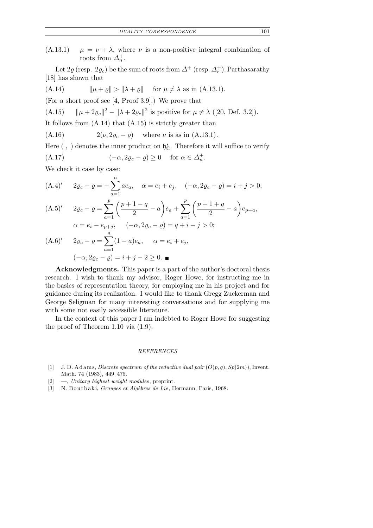$(A.13.1)$   $\mu = \nu + \lambda$ , where  $\nu$  is a non-positive integral combination of roots from  $\Delta_n^+$ .

Let  $2\varrho$  (resp.  $2\varrho_{c}$ ) be the sum of roots from  $\varDelta^{+}$  (resp.  $\varDelta^{+}_{c}$ ). Parthasarathy [18] has shown that

(A.14) 
$$
\|\mu + \varrho\| > \|\lambda + \varrho\| \quad \text{for } \mu \neq \lambda \text{ as in (A.13.1).}
$$

(For a short proof see [4, Proof 3.9].) We prove that

(A.15)  $\|\mu + 2\varrho_c\|^2 - \|\lambda + 2\varrho_c\|^2$  is positive for  $\mu \neq \lambda$  ([20, Def. 3.2]).

It follows from (A.14) that (A.15) is strictly greater than

(A.16)  $2(\nu, 2\rho_c - \rho)$  where  $\nu$  is as in (A.13.1).

Here  $( , )$  denotes the inner product on  $\mathfrak{h}_{\mathbb{C}}^*$ . Therefore it will suffice to verify

(A.17) 
$$
(-\alpha, 2\varrho_c - \varrho) \ge 0 \quad \text{for } \alpha \in \Delta_n^+.
$$

We check it case by case:

$$
(A.4)' \quad 2\varrho_c - \varrho = -\sum_{a=1}^n a e_a, \quad \alpha = e_i + e_j, \quad (-\alpha, 2\varrho_c - \varrho) = i + j > 0;
$$
\n
$$
(A.5)' \quad 2\varrho_c - \varrho = \sum_{a=1}^p \left(\frac{p+1-q}{2} - a\right) e_a + \sum_{a=1}^p \left(\frac{p+1+q}{2} - a\right) e_{p+a},
$$
\n
$$
\alpha = e_i - e_{p+j}, \quad (-\alpha, 2\varrho_c - \varrho) = q + i - j > 0;
$$
\n
$$
(A.6)' \quad 2\varrho_c - \varrho = \sum_{a=1}^n (1-a)e_a, \quad \alpha = e_i + e_j,
$$
\n
$$
(-\alpha, 2\varrho_c - \varrho) = i + j - 2 \ge 0.
$$

Acknowledgments. This paper is a part of the author's doctoral thesis research. I wish to thank my advisor, Roger Howe, for instructing me in the basics of representation theory, for employing me in his project and for guidance during its realization. I would like to thank Gregg Zuckerman and George Seligman for many interesting conversations and for supplying me with some not easily accessible literature.

In the context of this paper I am indebted to Roger Howe for suggesting the proof of Theorem 1.10 via (1.9).

## *REFERENCES*

- [1] J. D. A d ams, *Discrete spectrum of the reductive dual pair*  $(O(p, q), Sp(2m))$ , Invent. Math. 74 (1983), 449–475.
- [2] —, *Unitary highest weight modules*, preprint.
- [3] N. Bourbaki, *Groupes et Algèbres de Lie*, Hermann, Paris, 1968.